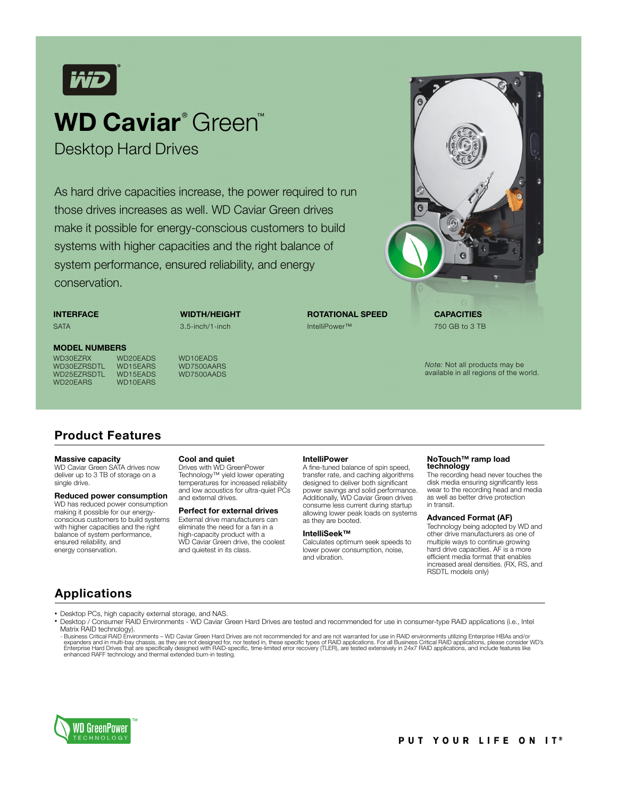

# **WD Caviar**® Green™

Desktop Hard Drives

As hard drive capacities increase, the power required to run those drives increases as well. WD Caviar Green drives make it possible for energy-conscious customers to build systems with higher capacities and the right balance of system performance, ensured reliability, and energy conservation.

**INTERFACE**

**SATA** 

**WIDTH/HEIGHT** 3.5-inch/1-inch

#### **MODEL NUMBERS**

WD30EZRSDTL WD15EARS WD7500AARS<br>WD25EZRSDTL WD15EADS WD7500AADS WD25EZRSDTL WD15EADS<br>WD20EABS WD10EABS WD20EARS

WD30EZRX WD20EADS WD10EADS<br>WD30EZRSDTL WD15EARS WD7500AARS



*Note:* Not all products may be available in all regions of the world.

### **Product Features**

#### **Massive capacity**

WD Caviar Green SATA drives now deliver up to 3 TB of storage on a single drive.

**Reduced power consumption** WD has reduced power consumption making it possible for our energy-conscious customers to build systems with higher capacities and the right balance of system performance, ensured reliability, and energy conservation.

#### **Cool and quiet**

Drives with WD GreenPower Technology™ yield lower operating temperatures for increased reliability and low acoustics for ultra-quiet PCs and external drives.

#### **Perfect for external drives**

External drive manufacturers can eliminate the need for a fan in a high-capacity product with a WD Caviar Green drive, the coolest and quietest in its class.

#### **IntelliPower**

IntelliPower™

A fine-tuned balance of spin speed, transfer rate, and caching algorithms designed to deliver both significant power savings and solid performance. Additionally, WD Caviar Green drives consume less current during startup allowing lower peak loads on systems as they are booted.

#### **IntelliSeek™**

Calculates optimum seek speeds to lower power consumption, noise, and vibration.

## **NoTouch™ ramp load technology**

The recording head never touches the disk media ensuring significantly less wear to the recording head and media as well as better drive protection in transit.

#### **Advanced Format (AF)**

Technology being adopted by WD and other drive manufacturers as one of multiple ways to continue growing hard drive capacities. AF is a more efficient media format that enables increased areal densities. (RX, RS, and RSDTL models only)

### **Applications**

Desktop PCs, high capacity external storage, and NAS.

 Desktop / Consumer RAID Environments - WD Caviar Green Hard Drives are tested and recommended for use in consumer-type RAID applications (i.e., Intel Matrix RAID technology).

- Business Critical RAID Environments – WD Caviar Green Hard Drives are not recommended for and are not warranted for use in RAID environments utilizing Enterprise HBAs and/or expanders and in multi-bay chassis, as they are not designed for, nor tested in, these specific types of RAID applications. For all Business Critical RAID applications, please consider WD's<br>Enterprise Hard Drives that are

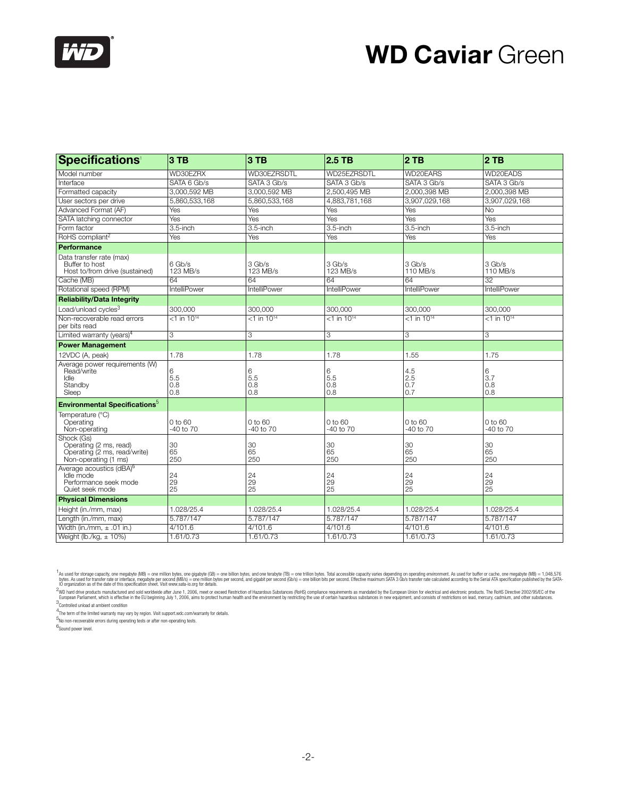

# **WD Caviar** Green

| <b>Specifications</b>                                                                         | 3 TB                      | 3T <sub>B</sub>           | 2.5 TB                    | 2TB                         | 2TB                        |
|-----------------------------------------------------------------------------------------------|---------------------------|---------------------------|---------------------------|-----------------------------|----------------------------|
| Model number                                                                                  | WD30EZRX                  | WD30EZRSDTL               | WD25EZRSDTL               | WD20EARS                    | WD20EADS                   |
| Interface                                                                                     | SATA 6 Gb/s               | SATA 3 Gb/s               | SATA 3 Gb/s               | SATA 3 Gb/s                 | SATA 3 Gb/s                |
| Formatted capacity                                                                            | 3,000,592 MB              | 3,000,592 MB              | 2,500,495 MB              | 2,000,398 MB                | 2,000,398 MB               |
| User sectors per drive                                                                        | 5,860,533,168             | 5,860,533,168             | 4,883,781,168             | 3,907,029,168               | 3,907,029,168              |
| Advanced Format (AF)                                                                          | Yes                       | Yes                       | Yes                       | Yes                         | No                         |
| SATA latching connector                                                                       | Yes                       | Yes                       | Yes                       | Yes                         | Yes                        |
| Form factor                                                                                   | 3.5-inch                  | 3.5-inch                  | 3.5-inch                  | 3.5-inch                    | 3.5-inch                   |
| RoHS compliant <sup>2</sup>                                                                   | Yes                       | Yes                       | Yes                       | Yes                         | Yes                        |
| Performance                                                                                   |                           |                           |                           |                             |                            |
| Data transfer rate (max)<br>Buffer to host<br>Host to/from drive (sustained)                  | 6 Gb/s<br>123 MB/s        | 3 Gb/s<br>123 MB/s        | 3 Gb/s<br>123 MB/s        | 3 Gb/s<br>110 MB/s          | 3 Gb/s<br>110 MB/s         |
| Cache (MB)                                                                                    | 64                        | 64                        | 64                        | 64                          | 32                         |
| Rotational speed (RPM)                                                                        | <b>IntelliPower</b>       | IntelliPower              | <b>IntelliPower</b>       | <b>IntelliPower</b>         | <b>IntelliPower</b>        |
| <b>Reliability/Data Integrity</b>                                                             |                           |                           |                           |                             |                            |
| Load/unload cycles <sup>3</sup>                                                               | 300,000                   | 300,000                   | 300.000                   | 300.000                     | 300,000                    |
| Non-recoverable read errors<br>per bits read                                                  | $<$ 1 in 10 <sup>14</sup> | $<$ 1 in 10 <sup>14</sup> | $<$ 1 in 10 <sup>14</sup> | $<$ 1 in 10 <sup>14</sup>   | $<$ 1 in 10 <sup>14</sup>  |
| Limited warranty (years) <sup>4</sup>                                                         | 3                         | 3                         | 3                         | 3                           | 3                          |
| <b>Power Management</b>                                                                       |                           |                           |                           |                             |                            |
| 12VDC (A, peak)                                                                               | 1.78                      | 1.78                      | 1.78                      | 1.55                        | 1.75                       |
| Average power requirements (W)<br>Read/write<br>Idle<br>Standby<br>Sleep                      | 6<br>5.5<br>0.8<br>0.8    | 6<br>5.5<br>0.8<br>0.8    | 6<br>5.5<br>0.8<br>0.8    | 4.5<br>2.5<br>0.7<br>0.7    | 6<br>3.7<br>0.8<br>0.8     |
| <b>Environmental Specifications</b> <sup>5</sup>                                              |                           |                           |                           |                             |                            |
| Temperature (°C)<br>Operating<br>Non-operating                                                | 0 to 60<br>-40 to 70      | 0 to 60<br>-40 to 70      | 0 to 60<br>-40 to 70      | $0$ to 60<br>$-40$ to $70$  | $0$ to 60<br>$-40$ to $70$ |
| Shock (Gs)<br>Operating (2 ms, read)<br>Operating (2 ms, read/write)<br>Non-operating (1 ms)  | 30<br>65<br>250           | 30<br>65<br>250           | 30<br>65<br>250           | 30<br>65<br>250             | 30<br>65<br>250            |
| Average acoustics (dBA) <sup>6</sup><br>Idle mode<br>Performance seek mode<br>Quiet seek mode | 24<br>29<br>25            | 24<br>29<br>25            | 24<br>29<br>25            | 24<br>$\overline{29}$<br>25 | 24<br>29<br>25             |
| <b>Physical Dimensions</b>                                                                    |                           |                           |                           |                             |                            |
| Height (in./mm, max)                                                                          | 1.028/25.4                | 1.028/25.4                | 1.028/25.4                | 1.028/25.4                  | 1.028/25.4                 |
| Length (in./mm, max)                                                                          | 5.787/147                 | 5.787/147                 | 5.787/147                 | 5.787/147                   | 5.787/147                  |
| Width (in./mm, $\pm$ .01 in.)                                                                 | 4/101.6                   | 4/101.6                   | 4/101.6                   | 4/101.6                     | 4/101.6                    |
| Weight (lb./kg, $\pm$ 10%)                                                                    | 1.61/0.73                 | 1.61/0.73                 | 1.61/0.73                 | 1.61/0.73                   | 1.61/0.73                  |

<span id="page-1-0"></span><sup>1</sup>As used for storage capacity, one megabyte (MB) = one million bytes, one gigabyte (GB) = one billion bytes, and one terabyte (MD) = one trilion bytes. Total accessible capacity varies depending on operating environment.

<span id="page-1-1"></span>

4 The term of the limited warranty may vary by region. Visit support.wdc.com/warranty for details.

5 No non-recoverable errors during operating tests or after non-operating tests.

6<br>Sound power level.